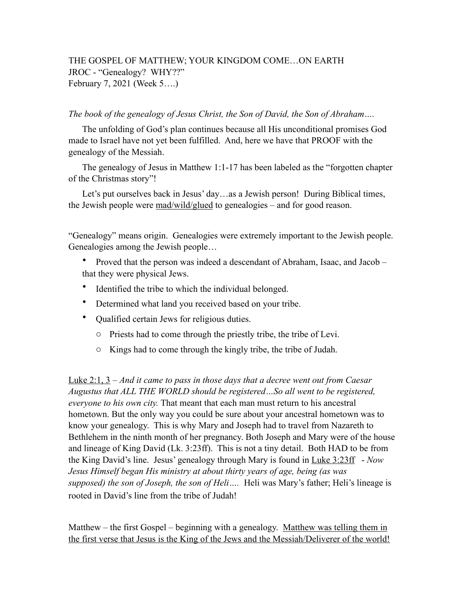## THE GOSPEL OF MATTHEW; YOUR KINGDOM COME…ON EARTH JROC - "Genealogy? WHY??" February 7, 2021 (Week 5….)

## *The book of the genealogy of Jesus Christ, the Son of David, the Son of Abraham….*

The unfolding of God's plan continues because all His unconditional promises God made to Israel have not yet been fulfilled. And, here we have that PROOF with the genealogy of the Messiah.

The genealogy of Jesus in Matthew 1:1-17 has been labeled as the "forgotten chapter of the Christmas story"!

Let's put ourselves back in Jesus' day…as a Jewish person! During Biblical times, the Jewish people were mad/wild/glued to genealogies – and for good reason.

"Genealogy" means origin. Genealogies were extremely important to the Jewish people. Genealogies among the Jewish people…

- Proved that the person was indeed a descendant of Abraham, Isaac, and Jacob that they were physical Jews.
- Identified the tribe to which the individual belonged.
- Determined what land you received based on your tribe.
- Qualified certain Jews for religious duties.
	- o Priests had to come through the priestly tribe, the tribe of Levi.
	- o Kings had to come through the kingly tribe, the tribe of Judah.

Luke 2:1, 3 – *And it came to pass in those days that a decree went out from Caesar Augustus that ALL THE WORLD should be registered…So all went to be registered, everyone to his own city.* That meant that each man must return to his ancestral hometown. But the only way you could be sure about your ancestral hometown was to know your genealogy. This is why Mary and Joseph had to travel from Nazareth to Bethlehem in the ninth month of her pregnancy. Both Joseph and Mary were of the house and lineage of King David (Lk. 3:23ff). This is not a tiny detail. Both HAD to be from the King David's line. Jesus' genealogy through Mary is found in Luke 3:23ff - *Now Jesus Himself began His ministry at about thirty years of age, being (as was supposed) the son of Joseph, the son of Heli….* Heli was Mary's father; Heli's lineage is rooted in David's line from the tribe of Judah!

Matthew – the first Gospel – beginning with a genealogy. Matthew was telling them in the first verse that Jesus is the King of the Jews and the Messiah/Deliverer of the world!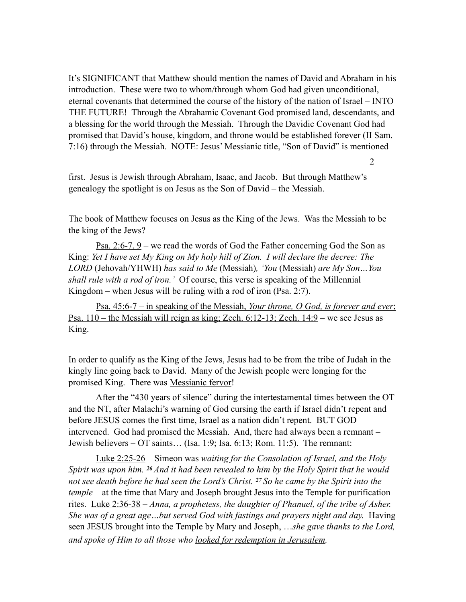It's SIGNIFICANT that Matthew should mention the names of <u>David</u> and Abraham in his introduction. These were two to whom/through whom God had given unconditional, eternal covenants that determined the course of the history of the nation of Israel – INTO THE FUTURE! Through the Abrahamic Covenant God promised land, descendants, and a blessing for the world through the Messiah. Through the Davidic Covenant God had promised that David's house, kingdom, and throne would be established forever (II Sam. 7:16) through the Messiah. NOTE: Jesus' Messianic title, "Son of David" is mentioned

2

first. Jesus is Jewish through Abraham, Isaac, and Jacob. But through Matthew's genealogy the spotlight is on Jesus as the Son of David – the Messiah.

The book of Matthew focuses on Jesus as the King of the Jews. Was the Messiah to be the king of the Jews?

Psa. 2:6-7, 9 – we read the words of God the Father concerning God the Son as King: *Yet I have set My King on My holy hill of Zion. I will declare the decree: The LORD* (Jehovah/YHWH) *has said to Me* (Messiah)*, 'You* (Messiah) *are My Son…You shall rule with a rod of iron.'* Of course, this verse is speaking of the Millennial Kingdom – when Jesus will be ruling with a rod of iron (Psa. 2:7).

Psa. 45:6-7 – in speaking of the Messiah, *Your throne, O God, is forever and ever*; Psa. 110 – the Messiah will reign as king; Zech. 6:12-13; Zech. 14:9 – we see Jesus as King.

In order to qualify as the King of the Jews, Jesus had to be from the tribe of Judah in the kingly line going back to David. Many of the Jewish people were longing for the promised King. There was Messianic fervor!

 After the "430 years of silence" during the intertestamental times between the OT and the NT, after Malachi's warning of God cursing the earth if Israel didn't repent and before JESUS comes the first time, Israel as a nation didn't repent. BUT GOD intervened. God had promised the Messiah. And, there had always been a remnant – Jewish believers – OT saints… (Isa. 1:9; Isa. 6:13; Rom. 11:5). The remnant:

Luke 2:25-26 – Simeon was *waiting for the Consolation of Israel, and the Holy Spirit was upon him. 26 And it had been revealed to him by the Holy Spirit that he would not see death before he had seen the Lord's Christ. 27 So he came by the Spirit into the temple* – at the time that Mary and Joseph brought Jesus into the Temple for purification rites. Luke 2:36-38 – *Anna, a prophetess, the daughter of Phanuel, of the tribe of Asher. She was of a great age...but served God with fastings and prayers night and day.* Having seen JESUS brought into the Temple by Mary and Joseph, …*she gave thanks to the Lord, and spoke of Him to all those who looked for redemption in Jerusalem.*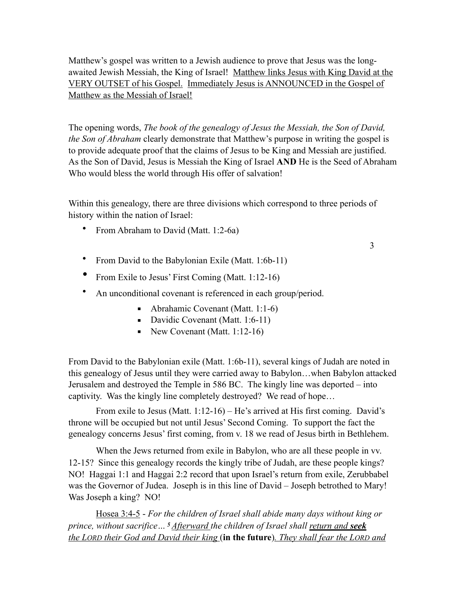Matthew's gospel was written to a Jewish audience to prove that Jesus was the longawaited Jewish Messiah, the King of Israel! Matthew links Jesus with King David at the VERY OUTSET of his Gospel. Immediately Jesus is ANNOUNCED in the Gospel of Matthew as the Messiah of Israel!

The opening words, *The book of the genealogy of Jesus the Messiah, the Son of David, the Son of Abraham* clearly demonstrate that Matthew's purpose in writing the gospel is to provide adequate proof that the claims of Jesus to be King and Messiah are justified. As the Son of David, Jesus is Messiah the King of Israel **AND** He is the Seed of Abraham Who would bless the world through His offer of salvation!

Within this genealogy, there are three divisions which correspond to three periods of history within the nation of Israel:

• From Abraham to David (Matt. 1:2-6a)

3

- From David to the Babylonian Exile (Matt. 1:6b-11)
- From Exile to Jesus' First Coming (Matt. 1:12-16)
- An unconditional covenant is referenced in each group/period.
	- Abrahamic Covenant (Matt.  $1:1-6$ )
	- Davidic Covenant (Matt. 1:6-11)
	- $\blacksquare$  New Covenant (Matt. 1:12-16)

From David to the Babylonian exile (Matt. 1:6b-11), several kings of Judah are noted in this genealogy of Jesus until they were carried away to Babylon…when Babylon attacked Jerusalem and destroyed the Temple in 586 BC. The kingly line was deported – into captivity. Was the kingly line completely destroyed? We read of hope…

From exile to Jesus (Matt. 1:12-16) – He's arrived at His first coming. David's throne will be occupied but not until Jesus' Second Coming. To support the fact the genealogy concerns Jesus' first coming, from v. 18 we read of Jesus birth in Bethlehem.

When the Jews returned from exile in Babylon, who are all these people in vv. 12-15? Since this genealogy records the kingly tribe of Judah, are these people kings? NO! Haggai 1:1 and Haggai 2:2 record that upon Israel's return from exile, Zerubbabel was the Governor of Judea. Joseph is in this line of David – Joseph betrothed to Mary! Was Joseph a king? NO!

Hosea 3:4-5 - *For the children of Israel shall abide many days without king or prince, without sacrifice… 5 Afterward the children of Israel shall return and seek the LORD their God and David their king* (**in the future**)*. They shall fear the LORD and*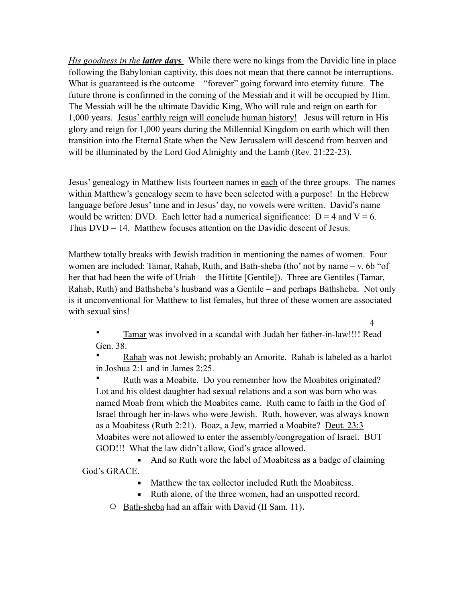*His goodness in the latter days.* While there were no kings from the Davidic line in place following the Babylonian captivity, this does not mean that there cannot be interruptions. What is guaranteed is the outcome – "forever" going forward into eternity future. The future throne is confirmed in the coming of the Messiah and it will be occupied by Him. The Messiah will be the ultimate Davidic King, Who will rule and reign on earth for 1,000 years. Jesus' earthly reign will conclude human history! Jesus will return in His glory and reign for 1,000 years during the Millennial Kingdom on earth which will then transition into the Eternal State when the New Jerusalem will descend from heaven and will be illuminated by the Lord God Almighty and the Lamb (Rev. 21:22-23).

Jesus' genealogy in Matthew lists fourteen names in each of the three groups. The names within Matthew's genealogy seem to have been selected with a purpose! In the Hebrew language before Jesus' time and in Jesus' day, no vowels were written. David's name would be written: DVD. Each letter had a numerical significance:  $D = 4$  and  $V = 6$ . Thus DVD = 14. Matthew focuses attention on the Davidic descent of Jesus.

Matthew totally breaks with Jewish tradition in mentioning the names of women. Four women are included: Tamar, Rahab, Ruth, and Bath-sheba (tho' not by name – v. 6b "of her that had been the wife of Uriah – the Hittite [Gentile]). Three are Gentiles (Tamar, Rahab, Ruth) and Bathsheba's husband was a Gentile – and perhaps Bathsheba. Not only is it unconventional for Matthew to list females, but three of these women are associated with sexual sins!

4

• Tamar was involved in a scandal with Judah her father-in-law!!!! Read Gen. 38.

Rahab was not Jewish; probably an Amorite. Rahab is labeled as a harlot in Joshua 2:1 and in James 2:25.

Ruth was a Moabite. Do you remember how the Moabites originated? Lot and his oldest daughter had sexual relations and a son was born who was named Moab from which the Moabites came. Ruth came to faith in the God of Israel through her in-laws who were Jewish. Ruth, however, was always known as a Moabitess (Ruth 2:21). Boaz, a Jew, married a Moabite? Deut. 23:3 – Moabites were not allowed to enter the assembly/congregation of Israel. BUT GOD!!! What the law didn't allow, God's grace allowed.

■ And so Ruth wore the label of Moabitess as a badge of claiming God's GRACE.

- Matthew the tax collector included Ruth the Moabitess.
- Ruth alone, of the three women, had an unspotted record.
- o Bath-sheba had an affair with David (II Sam. 11).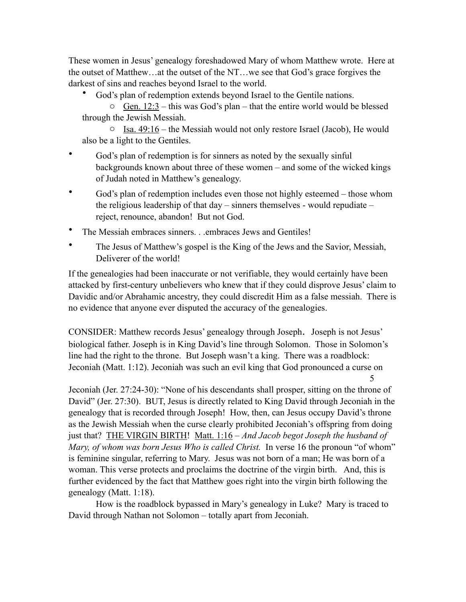These women in Jesus' genealogy foreshadowed Mary of whom Matthew wrote. Here at the outset of Matthew…at the outset of the NT…we see that God's grace forgives the darkest of sins and reaches beyond Israel to the world.

God's plan of redemption extends beyond Israel to the Gentile nations.

 $\circ$  Gen. 12:3 – this was God's plan – that the entire world would be blessed through the Jewish Messiah.

 $\circ$  Isa. 49:16 – the Messiah would not only restore Israel (Jacob), He would also be a light to the Gentiles.

- God's plan of redemption is for sinners as noted by the sexually sinful backgrounds known about three of these women – and some of the wicked kings of Judah noted in Matthew's genealogy.
- God's plan of redemption includes even those not highly esteemed those whom the religious leadership of that day – sinners themselves - would repudiate – reject, renounce, abandon! But not God.
- The Messiah embraces sinners. . .embraces Jews and Gentiles!
- The Jesus of Matthew's gospel is the King of the Jews and the Savior, Messiah, Deliverer of the world!

If the genealogies had been inaccurate or not verifiable, they would certainly have been attacked by first-century unbelievers who knew that if they could disprove Jesus' claim to Davidic and/or Abrahamic ancestry, they could discredit Him as a false messiah. There is no evidence that anyone ever disputed the accuracy of the genealogies.

CONSIDER: Matthew records Jesus' genealogy through Joseph. Joseph is not Jesus' biological father. Joseph is in King David's line through Solomon. Those in Solomon's line had the right to the throne. But Joseph wasn't a king. There was a roadblock: Jeconiah (Matt. 1:12). Jeconiah was such an evil king that God pronounced a curse on 5

Jeconiah (Jer. 27:24-30): "None of his descendants shall prosper, sitting on the throne of David" (Jer. 27:30). BUT, Jesus is directly related to King David through Jeconiah in the genealogy that is recorded through Joseph! How, then, can Jesus occupy David's throne as the Jewish Messiah when the curse clearly prohibited Jeconiah's offspring from doing just that? THE VIRGIN BIRTH! Matt. 1:16 – *And Jacob begot Joseph the husband of Mary, of whom was born Jesus Who is called Christ.* In verse 16 the pronoun "of whom" is feminine singular, referring to Mary. Jesus was not born of a man; He was born of a woman. This verse protects and proclaims the doctrine of the virgin birth. And, this is further evidenced by the fact that Matthew goes right into the virgin birth following the genealogy (Matt. 1:18).

 How is the roadblock bypassed in Mary's genealogy in Luke? Mary is traced to David through Nathan not Solomon – totally apart from Jeconiah.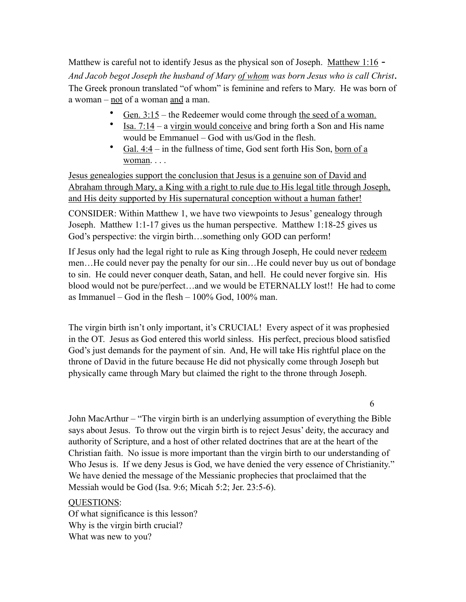Matthew is careful not to identify Jesus as the physical son of Joseph. Matthew 1:16 -*And Jacob begot Joseph the husband of Mary of whom was born Jesus who is call Christ*. The Greek pronoun translated "of whom" is feminine and refers to Mary. He was born of a woman – not of a woman and a man.

- Gen.  $3:15$  the Redeemer would come through the seed of a woman.
- Isa. 7:14 a virgin would conceive and bring forth a Son and His name would be Emmanuel – God with us/God in the flesh.
- Gal. 4:4 in the fullness of time, God sent forth His Son, born of a woman. . . .

Jesus genealogies support the conclusion that Jesus is a genuine son of David and Abraham through Mary, a King with a right to rule due to His legal title through Joseph, and His deity supported by His supernatural conception without a human father!

CONSIDER: Within Matthew 1, we have two viewpoints to Jesus' genealogy through Joseph. Matthew 1:1-17 gives us the human perspective. Matthew 1:18-25 gives us God's perspective: the virgin birth…something only GOD can perform!

If Jesus only had the legal right to rule as King through Joseph, He could never redeem men…He could never pay the penalty for our sin…He could never buy us out of bondage to sin. He could never conquer death, Satan, and hell. He could never forgive sin. His blood would not be pure/perfect…and we would be ETERNALLY lost!! He had to come as Immanuel – God in the flesh –  $100\%$  God,  $100\%$  man.

The virgin birth isn't only important, it's CRUCIAL! Every aspect of it was prophesied in the OT. Jesus as God entered this world sinless. His perfect, precious blood satisfied God's just demands for the payment of sin. And, He will take His rightful place on the throne of David in the future because He did not physically come through Joseph but physically came through Mary but claimed the right to the throne through Joseph.

6

John MacArthur – "The virgin birth is an underlying assumption of everything the Bible says about Jesus. To throw out the virgin birth is to reject Jesus' deity, the accuracy and authority of Scripture, and a host of other related doctrines that are at the heart of the Christian faith. No issue is more important than the virgin birth to our understanding of Who Jesus is. If we deny Jesus is God, we have denied the very essence of Christianity." We have denied the message of the Messianic prophecies that proclaimed that the Messiah would be God (Isa. 9:6; Micah 5:2; Jer. 23:5-6).

## QUESTIONS:

Of what significance is this lesson? Why is the virgin birth crucial? What was new to you?